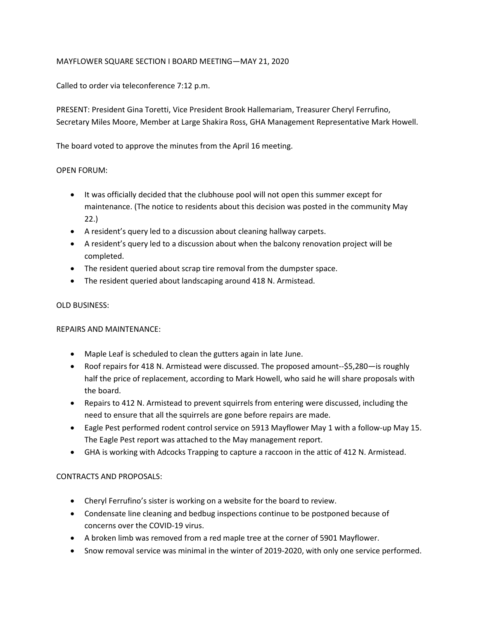# MAYFLOWER SQUARE SECTION I BOARD MEETING—MAY 21, 2020

Called to order via teleconference 7:12 p.m.

PRESENT: President Gina Toretti, Vice President Brook Hallemariam, Treasurer Cheryl Ferrufino, Secretary Miles Moore, Member at Large Shakira Ross, GHA Management Representative Mark Howell.

The board voted to approve the minutes from the April 16 meeting.

### OPEN FORUM:

- It was officially decided that the clubhouse pool will not open this summer except for maintenance. (The notice to residents about this decision was posted in the community May 22.)
- A resident's query led to a discussion about cleaning hallway carpets.
- A resident's query led to a discussion about when the balcony renovation project will be completed.
- The resident queried about scrap tire removal from the dumpster space.
- The resident queried about landscaping around 418 N. Armistead.

## OLD BUSINESS:

#### REPAIRS AND MAINTENANCE:

- Maple Leaf is scheduled to clean the gutters again in late June.
- Roof repairs for 418 N. Armistead were discussed. The proposed amount--\$5,280—is roughly half the price of replacement, according to Mark Howell, who said he will share proposals with the board.
- Repairs to 412 N. Armistead to prevent squirrels from entering were discussed, including the need to ensure that all the squirrels are gone before repairs are made.
- Eagle Pest performed rodent control service on 5913 Mayflower May 1 with a follow-up May 15. The Eagle Pest report was attached to the May management report.
- GHA is working with Adcocks Trapping to capture a raccoon in the attic of 412 N. Armistead.

# CONTRACTS AND PROPOSALS:

- Cheryl Ferrufino's sister is working on a website for the board to review.
- Condensate line cleaning and bedbug inspections continue to be postponed because of concerns over the COVID-19 virus.
- A broken limb was removed from a red maple tree at the corner of 5901 Mayflower.
- Snow removal service was minimal in the winter of 2019-2020, with only one service performed.